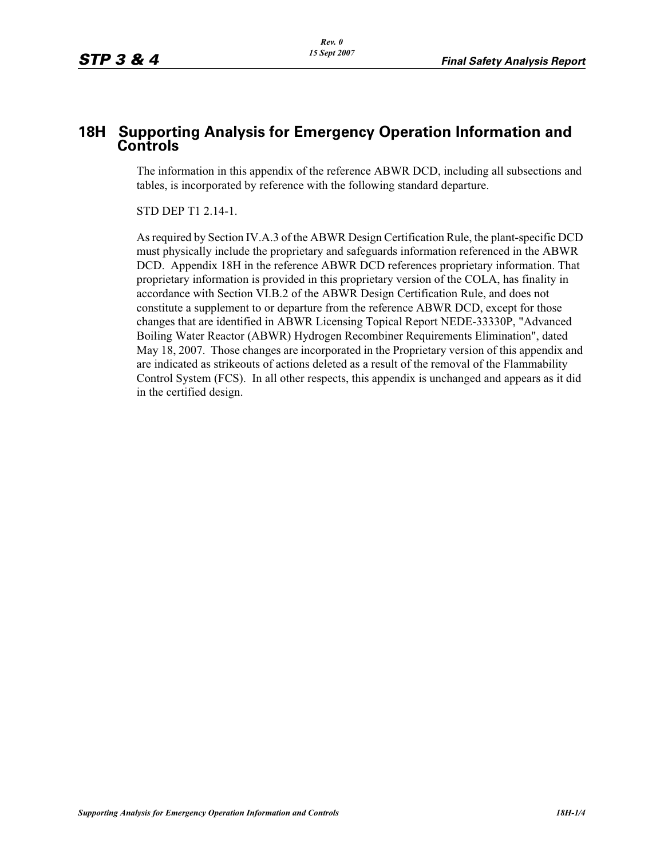## **18H Supporting Analysis for Emergency Operation Information and Controls**

The information in this appendix of the reference ABWR DCD, including all subsections and tables, is incorporated by reference with the following standard departure.

STD DEP T1 2.14-1.

As required by Section IV.A.3 of the ABWR Design Certification Rule, the plant-specific DCD must physically include the proprietary and safeguards information referenced in the ABWR DCD. Appendix 18H in the reference ABWR DCD references proprietary information. That proprietary information is provided in this proprietary version of the COLA, has finality in accordance with Section VI.B.2 of the ABWR Design Certification Rule, and does not constitute a supplement to or departure from the reference ABWR DCD, except for those changes that are identified in ABWR Licensing Topical Report NEDE-33330P, "Advanced Boiling Water Reactor (ABWR) Hydrogen Recombiner Requirements Elimination", dated May 18, 2007. Those changes are incorporated in the Proprietary version of this appendix and are indicated as strikeouts of actions deleted as a result of the removal of the Flammability Control System (FCS). In all other respects, this appendix is unchanged and appears as it did in the certified design.